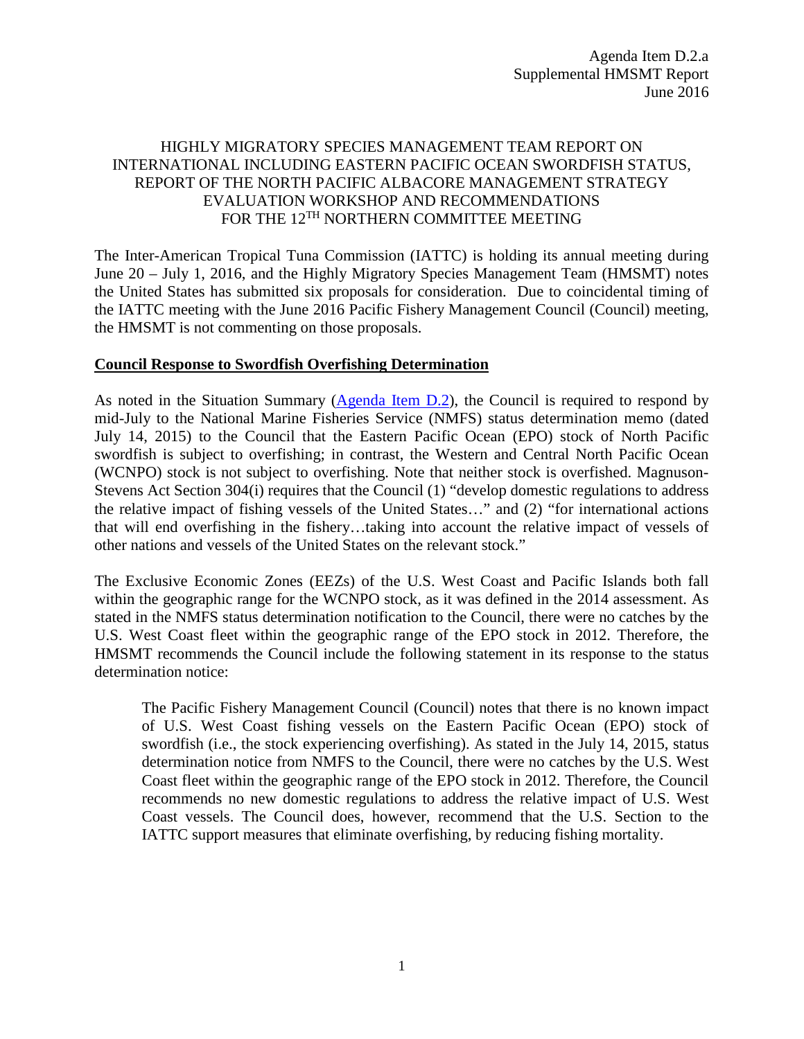## HIGHLY MIGRATORY SPECIES MANAGEMENT TEAM REPORT ON INTERNATIONAL INCLUDING EASTERN PACIFIC OCEAN SWORDFISH STATUS, REPORT OF THE NORTH PACIFIC ALBACORE MANAGEMENT STRATEGY EVALUATION WORKSHOP AND RECOMMENDATIONS FOR THE  $12^{\mathrm{TH}}$  NORTHERN COMMITTEE MEETING

The Inter-American Tropical Tuna Commission (IATTC) is holding its annual meeting during June 20 – July 1, 2016, and the Highly Migratory Species Management Team (HMSMT) notes the United States has submitted six proposals for consideration. Due to coincidental timing of the IATTC meeting with the June 2016 Pacific Fishery Management Council (Council) meeting, the HMSMT is not commenting on those proposals.

### **Council Response to Swordfish Overfishing Determination**

As noted in the Situation Summary [\(Agenda Item D.2\)](http://www.pcouncil.org/wp-content/uploads/2016/06/D2__SitSum_International_JUN2016BB.pdf), the Council is required to respond by mid-July to the National Marine Fisheries Service (NMFS) status determination memo (dated July 14, 2015) to the Council that the Eastern Pacific Ocean (EPO) stock of North Pacific swordfish is subject to overfishing; in contrast, the Western and Central North Pacific Ocean (WCNPO) stock is not subject to overfishing. Note that neither stock is overfished. Magnuson-Stevens Act Section 304(i) requires that the Council (1) "develop domestic regulations to address the relative impact of fishing vessels of the United States…" and (2) "for international actions that will end overfishing in the fishery…taking into account the relative impact of vessels of other nations and vessels of the United States on the relevant stock."

The Exclusive Economic Zones (EEZs) of the U.S. West Coast and Pacific Islands both fall within the geographic range for the WCNPO stock, as it was defined in the 2014 assessment. As stated in the NMFS status determination notification to the Council, there were no catches by the U.S. West Coast fleet within the geographic range of the EPO stock in 2012. Therefore, the HMSMT recommends the Council include the following statement in its response to the status determination notice:

The Pacific Fishery Management Council (Council) notes that there is no known impact of U.S. West Coast fishing vessels on the Eastern Pacific Ocean (EPO) stock of swordfish (i.e., the stock experiencing overfishing). As stated in the July 14, 2015, status determination notice from NMFS to the Council, there were no catches by the U.S. West Coast fleet within the geographic range of the EPO stock in 2012. Therefore, the Council recommends no new domestic regulations to address the relative impact of U.S. West Coast vessels. The Council does, however, recommend that the U.S. Section to the IATTC support measures that eliminate overfishing, by reducing fishing mortality.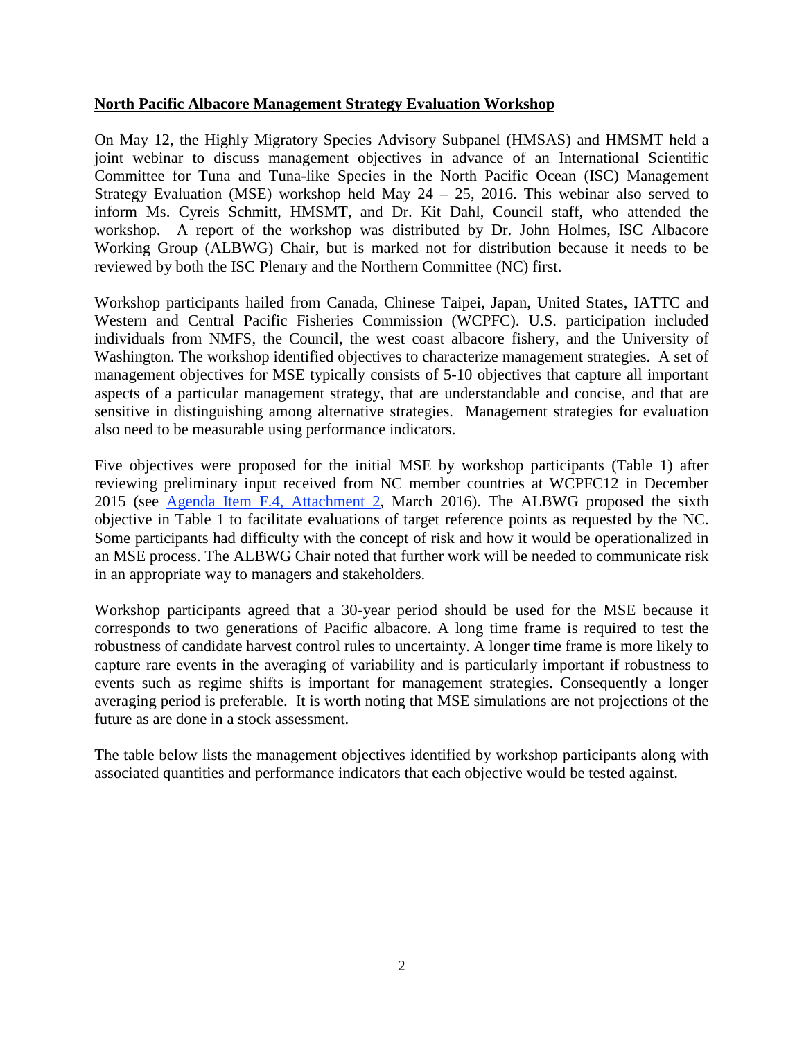#### **North Pacific Albacore Management Strategy Evaluation Workshop**

On May 12, the Highly Migratory Species Advisory Subpanel (HMSAS) and HMSMT held a joint webinar to discuss management objectives in advance of an International Scientific Committee for Tuna and Tuna-like Species in the North Pacific Ocean (ISC) Management Strategy Evaluation (MSE) workshop held May 24 – 25, 2016. This webinar also served to inform Ms. Cyreis Schmitt, HMSMT, and Dr. Kit Dahl, Council staff, who attended the workshop. A report of the workshop was distributed by Dr. John Holmes, ISC Albacore Working Group (ALBWG) Chair, but is marked not for distribution because it needs to be reviewed by both the ISC Plenary and the Northern Committee (NC) first.

Workshop participants hailed from Canada, Chinese Taipei, Japan, United States, IATTC and Western and Central Pacific Fisheries Commission (WCPFC). U.S. participation included individuals from NMFS, the Council, the west coast albacore fishery, and the University of Washington. The workshop identified objectives to characterize management strategies. A set of management objectives for MSE typically consists of 5-10 objectives that capture all important aspects of a particular management strategy, that are understandable and concise, and that are sensitive in distinguishing among alternative strategies. Management strategies for evaluation also need to be measurable using performance indicators.

Five objectives were proposed for the initial MSE by workshop participants (Table 1) after reviewing preliminary input received from NC member countries at WCPFC12 in December 2015 (see [Agenda Item F.4, Attachment 2,](http://www.pcouncil.org/wp-content/uploads/2016/02/F4_Att2_NorthernCommMgmtObjectives_MAR2016BB.pdf) March 2016). The ALBWG proposed the sixth objective in Table 1 to facilitate evaluations of target reference points as requested by the NC. Some participants had difficulty with the concept of risk and how it would be operationalized in an MSE process. The ALBWG Chair noted that further work will be needed to communicate risk in an appropriate way to managers and stakeholders.

Workshop participants agreed that a 30-year period should be used for the MSE because it corresponds to two generations of Pacific albacore. A long time frame is required to test the robustness of candidate harvest control rules to uncertainty. A longer time frame is more likely to capture rare events in the averaging of variability and is particularly important if robustness to events such as regime shifts is important for management strategies. Consequently a longer averaging period is preferable. It is worth noting that MSE simulations are not projections of the future as are done in a stock assessment.

The table below lists the management objectives identified by workshop participants along with associated quantities and performance indicators that each objective would be tested against.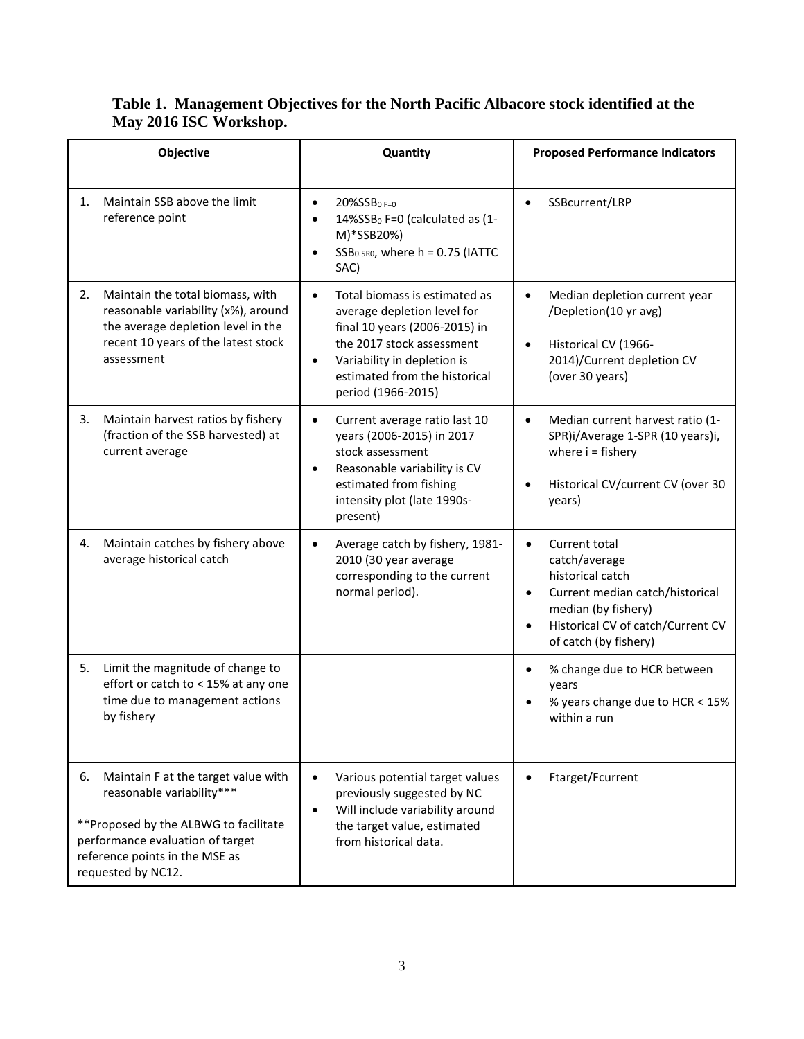| Objective                                                                                                                                                                                                    | Quantity                                                                                                                                                                                                                                   | <b>Proposed Performance Indicators</b>                                                                                                                                     |
|--------------------------------------------------------------------------------------------------------------------------------------------------------------------------------------------------------------|--------------------------------------------------------------------------------------------------------------------------------------------------------------------------------------------------------------------------------------------|----------------------------------------------------------------------------------------------------------------------------------------------------------------------------|
| Maintain SSB above the limit<br>1.<br>reference point                                                                                                                                                        | $20\%$ SSB <sub>0F=0</sub><br>$\bullet$<br>14%SSB <sub>0</sub> F=0 (calculated as (1-<br>M)*SSB20%)<br>$SSB0.5RO$ , where h = 0.75 (IATTC<br>SAC)                                                                                          | SSBcurrent/LRP<br>$\bullet$                                                                                                                                                |
| Maintain the total biomass, with<br>2.<br>reasonable variability (x%), around<br>the average depletion level in the<br>recent 10 years of the latest stock<br>assessment                                     | Total biomass is estimated as<br>$\bullet$<br>average depletion level for<br>final 10 years (2006-2015) in<br>the 2017 stock assessment<br>Variability in depletion is<br>$\bullet$<br>estimated from the historical<br>period (1966-2015) | Median depletion current year<br>$\bullet$<br>/Depletion(10 yr avg)<br>Historical CV (1966-<br>$\bullet$<br>2014)/Current depletion CV<br>(over 30 years)                  |
| Maintain harvest ratios by fishery<br>3.<br>(fraction of the SSB harvested) at<br>current average                                                                                                            | Current average ratio last 10<br>years (2006-2015) in 2017<br>stock assessment<br>Reasonable variability is CV<br>estimated from fishing<br>intensity plot (late 1990s-<br>present)                                                        | Median current harvest ratio (1-<br>$\bullet$<br>SPR)i/Average 1-SPR (10 years)i,<br>where $i = f$ ishery<br>Historical CV/current CV (over 30<br>years)                   |
| Maintain catches by fishery above<br>4.<br>average historical catch                                                                                                                                          | Average catch by fishery, 1981-<br>2010 (30 year average<br>corresponding to the current<br>normal period).                                                                                                                                | Current total<br>catch/average<br>historical catch<br>Current median catch/historical<br>median (by fishery)<br>Historical CV of catch/Current CV<br>of catch (by fishery) |
| Limit the magnitude of change to<br>5.<br>effort or catch to < 15% at any one<br>time due to management actions<br>by fishery                                                                                |                                                                                                                                                                                                                                            | % change due to HCR between<br>years<br>% years change due to HCR < 15%<br>within a run                                                                                    |
| Maintain F at the target value with<br>6.<br>reasonable variability***<br>** Proposed by the ALBWG to facilitate<br>performance evaluation of target<br>reference points in the MSE as<br>requested by NC12. | Various potential target values<br>$\bullet$<br>previously suggested by NC<br>Will include variability around<br>$\bullet$<br>the target value, estimated<br>from historical data.                                                         | Ftarget/Fcurrent                                                                                                                                                           |

# **Table 1. Management Objectives for the North Pacific Albacore stock identified at the May 2016 ISC Workshop.**